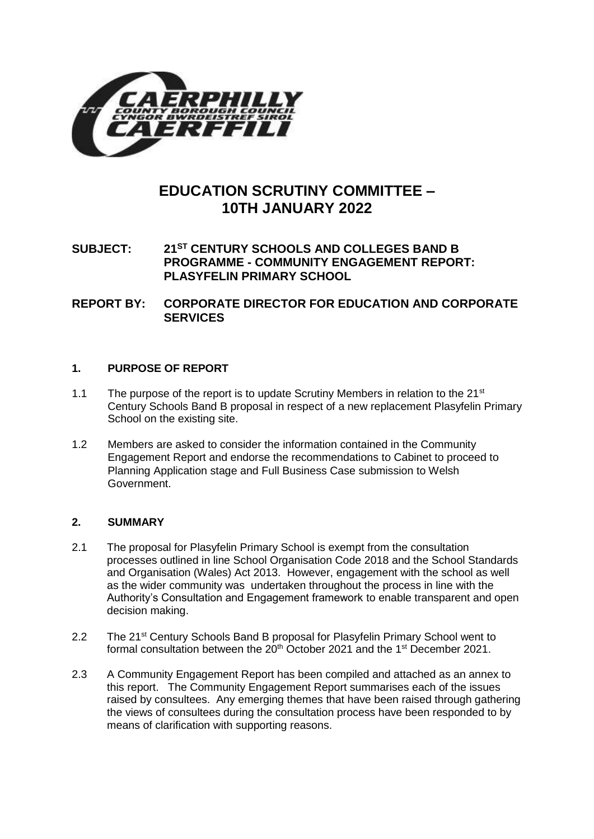

# **EDUCATION SCRUTINY COMMITTEE – 10TH JANUARY 2022**

# **SUBJECT: 21ST CENTURY SCHOOLS AND COLLEGES BAND B PROGRAMME - COMMUNITY ENGAGEMENT REPORT: PLASYFELIN PRIMARY SCHOOL**

**REPORT BY: CORPORATE DIRECTOR FOR EDUCATION AND CORPORATE SERVICES**

# **1. PURPOSE OF REPORT**

- 1.1 The purpose of the report is to update Scrutiny Members in relation to the  $21^{st}$ Century Schools Band B proposal in respect of a new replacement Plasyfelin Primary School on the existing site.
- 1.2 Members are asked to consider the information contained in the Community Engagement Report and endorse the recommendations to Cabinet to proceed to Planning Application stage and Full Business Case submission to Welsh Government.

# **2. SUMMARY**

- 2.1 The proposal for Plasyfelin Primary School is exempt from the consultation processes outlined in line School Organisation Code 2018 and the School Standards and Organisation (Wales) Act 2013. However, engagement with the school as well as the wider community was undertaken throughout the process in line with the Authority's Consultation and Engagement framework to enable transparent and open decision making.
- 2.2 The 21<sup>st</sup> Century Schools Band B proposal for Plasyfelin Primary School went to formal consultation between the  $20<sup>th</sup>$  October 2021 and the 1<sup>st</sup> December 2021.
- 2.3 A Community Engagement Report has been compiled and attached as an annex to this report. The Community Engagement Report summarises each of the issues raised by consultees. Any emerging themes that have been raised through gathering the views of consultees during the consultation process have been responded to by means of clarification with supporting reasons.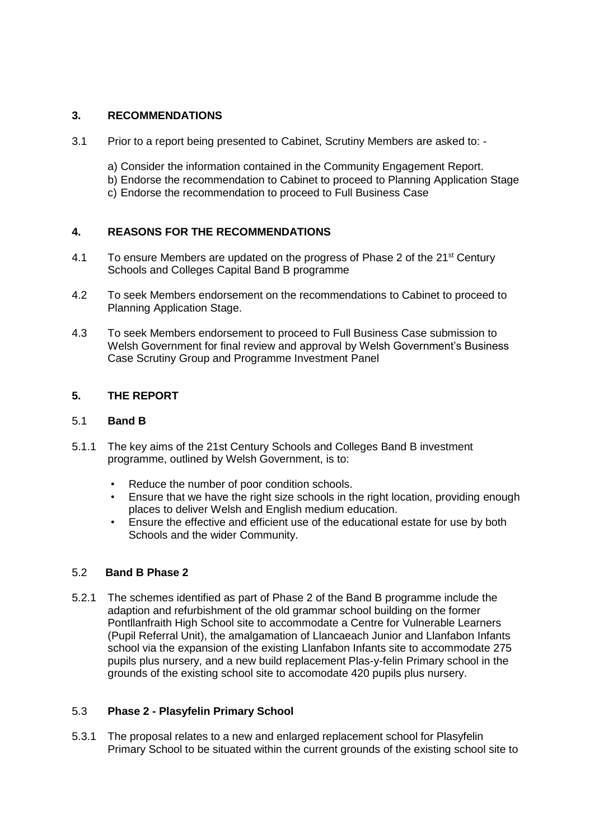# **3. RECOMMENDATIONS**

- 3.1 Prior to a report being presented to Cabinet, Scrutiny Members are asked to:
	- a) Consider the information contained in the Community Engagement Report.
	- b) Endorse the recommendation to Cabinet to proceed to Planning Application Stage
	- c) Endorse the recommendation to proceed to Full Business Case

# **4. REASONS FOR THE RECOMMENDATIONS**

- 4.1 To ensure Members are updated on the progress of Phase 2 of the  $21<sup>st</sup>$  Century Schools and Colleges Capital Band B programme
- 4.2 To seek Members endorsement on the recommendations to Cabinet to proceed to Planning Application Stage.
- 4.3 To seek Members endorsement to proceed to Full Business Case submission to Welsh Government for final review and approval by Welsh Government's Business Case Scrutiny Group and Programme Investment Panel

# **5. THE REPORT**

# 5.1 **Band B**

- 5.1.1 The key aims of the 21st Century Schools and Colleges Band B investment programme, outlined by Welsh Government, is to:
	- Reduce the number of poor condition schools.
	- Ensure that we have the right size schools in the right location, providing enough places to deliver Welsh and English medium education.
	- Ensure the effective and efficient use of the educational estate for use by both Schools and the wider Community.

# 5.2 **Band B Phase 2**

5.2.1 The schemes identified as part of Phase 2 of the Band B programme include the adaption and refurbishment of the old grammar school building on the former Pontllanfraith High School site to accommodate a Centre for Vulnerable Learners (Pupil Referral Unit), the amalgamation of Llancaeach Junior and Llanfabon Infants school via the expansion of the existing Llanfabon Infants site to accommodate 275 pupils plus nursery, and a new build replacement Plas-y-felin Primary school in the grounds of the existing school site to accomodate 420 pupils plus nursery.

# 5.3 **Phase 2 - Plasyfelin Primary School**

5.3.1 The proposal relates to a new and enlarged replacement school for Plasyfelin Primary School to be situated within the current grounds of the existing school site to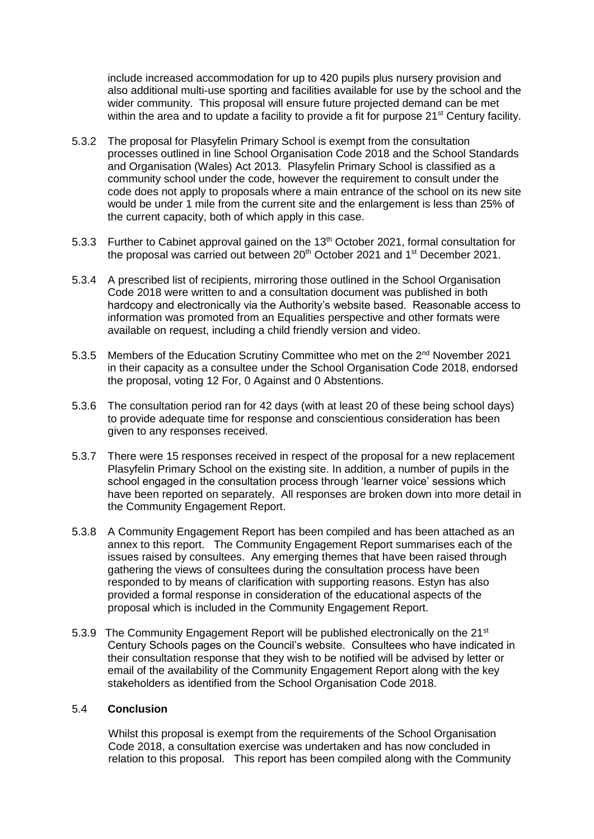include increased accommodation for up to 420 pupils plus nursery provision and also additional multi-use sporting and facilities available for use by the school and the wider community. This proposal will ensure future projected demand can be met within the area and to update a facility to provide a fit for purpose 21<sup>st</sup> Century facility.

- 5.3.2 The proposal for Plasyfelin Primary School is exempt from the consultation processes outlined in line School Organisation Code 2018 and the School Standards and Organisation (Wales) Act 2013. Plasyfelin Primary School is classified as a community school under the code, however the requirement to consult under the code does not apply to proposals where a main entrance of the school on its new site would be under 1 mile from the current site and the enlargement is less than 25% of the current capacity, both of which apply in this case.
- 5.3.3 Further to Cabinet approval gained on the  $13<sup>th</sup>$  October 2021, formal consultation for the proposal was carried out between  $20<sup>th</sup>$  October 2021 and 1<sup>st</sup> December 2021.
- 5.3.4 A prescribed list of recipients, mirroring those outlined in the School Organisation Code 2018 were written to and a consultation document was published in both hardcopy and electronically via the Authority's website based. Reasonable access to information was promoted from an Equalities perspective and other formats were available on request, including a child friendly version and video.
- 5.3.5 Members of the Education Scrutiny Committee who met on the 2<sup>nd</sup> November 2021 in their capacity as a consultee under the School Organisation Code 2018, endorsed the proposal, voting 12 For, 0 Against and 0 Abstentions.
- 5.3.6 The consultation period ran for 42 days (with at least 20 of these being school days) to provide adequate time for response and conscientious consideration has been given to any responses received.
- 5.3.7 There were 15 responses received in respect of the proposal for a new replacement Plasyfelin Primary School on the existing site. In addition, a number of pupils in the school engaged in the consultation process through 'learner voice' sessions which have been reported on separately. All responses are broken down into more detail in the Community Engagement Report.
- 5.3.8 A Community Engagement Report has been compiled and has been attached as an annex to this report. The Community Engagement Report summarises each of the issues raised by consultees. Any emerging themes that have been raised through gathering the views of consultees during the consultation process have been responded to by means of clarification with supporting reasons. Estyn has also provided a formal response in consideration of the educational aspects of the proposal which is included in the Community Engagement Report.
- 5.3.9 The Community Engagement Report will be published electronically on the 21<sup>st</sup> Century Schools pages on the Council's website. Consultees who have indicated in their consultation response that they wish to be notified will be advised by letter or email of the availability of the Community Engagement Report along with the key stakeholders as identified from the School Organisation Code 2018.

#### 5.4 **Conclusion**

Whilst this proposal is exempt from the requirements of the School Organisation Code 2018, a consultation exercise was undertaken and has now concluded in relation to this proposal. This report has been compiled along with the Community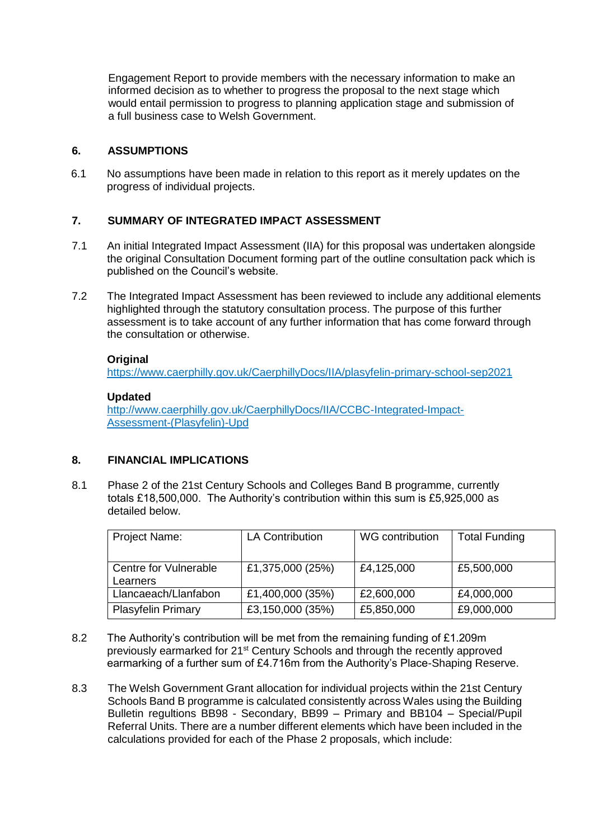Engagement Report to provide members with the necessary information to make an informed decision as to whether to progress the proposal to the next stage which would entail permission to progress to planning application stage and submission of a full business case to Welsh Government.

# **6. ASSUMPTIONS**

6.1 No assumptions have been made in relation to this report as it merely updates on the progress of individual projects.

# **7. SUMMARY OF INTEGRATED IMPACT ASSESSMENT**

- 7.1 An initial Integrated Impact Assessment (IIA) for this proposal was undertaken alongside the original Consultation Document forming part of the outline consultation pack which is published on the Council's website.
- 7.2 The Integrated Impact Assessment has been reviewed to include any additional elements highlighted through the statutory consultation process. The purpose of this further assessment is to take account of any further information that has come forward through the consultation or otherwise.

# **Original**

<https://www.caerphilly.gov.uk/CaerphillyDocs/IIA/plasyfelin-primary-school-sep2021>

### **Updated**

[http://www.caerphilly.gov.uk/CaerphillyDocs/IIA/CCBC-Integrated-Impact-](http://www.caerphilly.gov.uk/CaerphillyDocs/IIA/CCBC-Integrated-Impact-Assessment-(Plasyfelin)-Upd)[Assessment-\(Plasyfelin\)-Upd](http://www.caerphilly.gov.uk/CaerphillyDocs/IIA/CCBC-Integrated-Impact-Assessment-(Plasyfelin)-Upd)

# **8. FINANCIAL IMPLICATIONS**

8.1 Phase 2 of the 21st Century Schools and Colleges Band B programme, currently totals £18,500,000. The Authority's contribution within this sum is £5,925,000 as detailed below.

| Project Name:                     | <b>LA Contribution</b> | WG contribution | <b>Total Funding</b> |
|-----------------------------------|------------------------|-----------------|----------------------|
| Centre for Vulnerable<br>Learners | £1,375,000 (25%)       | £4,125,000      | £5,500,000           |
| Llancaeach/Llanfabon              | £1,400,000 (35%)       | £2,600,000      | £4,000,000           |
| <b>Plasyfelin Primary</b>         | £3,150,000 (35%)       | £5,850,000      | £9,000,000           |

- 8.2 The Authority's contribution will be met from the remaining funding of £1.209m previously earmarked for 21st Century Schools and through the recently approved earmarking of a further sum of £4.716m from the Authority's Place-Shaping Reserve.
- 8.3 The Welsh Government Grant allocation for individual projects within the 21st Century Schools Band B programme is calculated consistently across Wales using the Building Bulletin regultions BB98 - Secondary, BB99 – Primary and BB104 – Special/Pupil Referral Units. There are a number different elements which have been included in the calculations provided for each of the Phase 2 proposals, which include: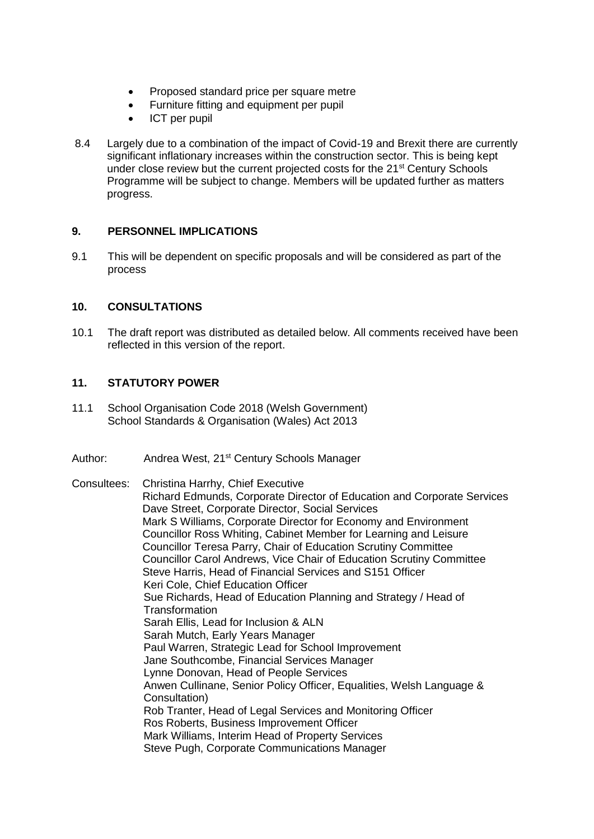- Proposed standard price per square metre
- Furniture fitting and equipment per pupil
- ICT per pupil
- 8.4 Largely due to a combination of the impact of Covid-19 and Brexit there are currently significant inflationary increases within the construction sector. This is being kept under close review but the current projected costs for the 21<sup>st</sup> Century Schools Programme will be subject to change. Members will be updated further as matters progress.

# **9. PERSONNEL IMPLICATIONS**

9.1 This will be dependent on specific proposals and will be considered as part of the process

# **10. CONSULTATIONS**

10.1 The draft report was distributed as detailed below. All comments received have been reflected in this version of the report.

# **11. STATUTORY POWER**

- 11.1 School Organisation Code 2018 (Welsh Government) School Standards & Organisation (Wales) Act 2013
- Author: Andrea West, 21<sup>st</sup> Century Schools Manager

Consultees: Christina Harrhy, Chief Executive Richard Edmunds, Corporate Director of Education and Corporate Services Dave Street, Corporate Director, Social Services Mark S Williams, Corporate Director for Economy and Environment Councillor Ross Whiting, Cabinet Member for Learning and Leisure Councillor Teresa Parry, Chair of Education Scrutiny Committee Councillor Carol Andrews, Vice Chair of Education Scrutiny Committee Steve Harris, Head of Financial Services and S151 Officer Keri Cole, Chief Education Officer Sue Richards, Head of Education Planning and Strategy / Head of **Transformation** Sarah Ellis, Lead for Inclusion & ALN Sarah Mutch, Early Years Manager Paul Warren, Strategic Lead for School Improvement Jane Southcombe, Financial Services Manager Lynne Donovan, Head of People Services Anwen Cullinane, Senior Policy Officer, Equalities, Welsh Language & Consultation) Rob Tranter, Head of Legal Services and Monitoring Officer Ros Roberts, Business Improvement Officer Mark Williams, Interim Head of Property Services Steve Pugh, Corporate Communications Manager